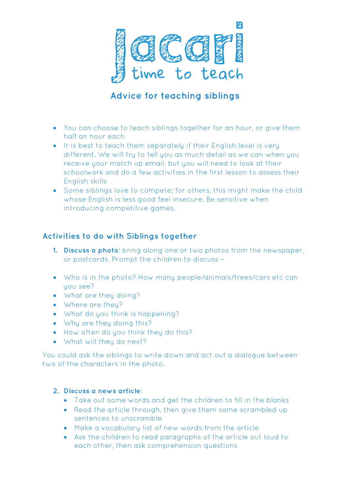

## **Advice for teaching siblings**

- You can choose to teach siblings together for an hour, or give them half an hour each
- It is best to teach them separately if their English level is very different. We will try to tell you as much detail as we can when you receive your match up email, but you will need to look at their schoolwork and do a few activities in the first lesson to assess their English skills
- Some siblings love to compete; for others, this might make the child whose English is less good feel insecure. Be sensitive when introducing competitive games.

## **Activities to do with Siblings together**

- **1. Discuss a photo**: bring along one or two photos from the newspaper, or postcards. Prompt the children to discuss –
- Who is in the photo? How many people/animals/trees/cars etc can uou see?
- What are they doing?
- Where are they?
- What do you think is happening?
- Why are they doing this?
- How often do you think they do this?
- What will they do next?

You could ask the siblings to write down and act out a dialogue between two of the characters in the photo.

## **2. Discuss a news article**:

- Take out some words and get the children to fill in the blanks
- Read the article through, then give them some scrambled up sentences to unscramble
- Make a vocabulary list of new words from the article
- Ask the children to read paragraphs of the article out loud to each other, then ask comprehension questions